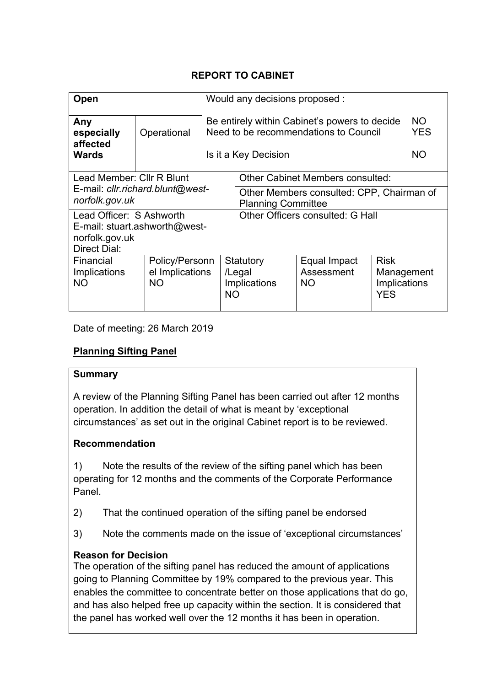## **REPORT TO CABINET**

| <b>Open</b>                                                                                        |             | Would any decisions proposed :                                                        |                                                                                                                |                                   |                                                         |                                |
|----------------------------------------------------------------------------------------------------|-------------|---------------------------------------------------------------------------------------|----------------------------------------------------------------------------------------------------------------|-----------------------------------|---------------------------------------------------------|--------------------------------|
| Any<br>especially<br>affected<br><b>Wards</b>                                                      | Operational |                                                                                       | Be entirely within Cabinet's powers to decide<br>Need to be recommendations to Council<br>Is it a Key Decision |                                   |                                                         | NO.<br><b>YES</b><br><b>NO</b> |
| Lead Member: Cllr R Blunt                                                                          |             |                                                                                       | <b>Other Cabinet Members consulted:</b>                                                                        |                                   |                                                         |                                |
| E-mail: cllr.richard.blunt@west-<br>norfolk.gov.uk                                                 |             |                                                                                       | Other Members consulted: CPP, Chairman of<br><b>Planning Committee</b>                                         |                                   |                                                         |                                |
| Lead Officer: S Ashworth<br>E-mail: stuart.ashworth@west-<br>norfolk.gov.uk<br><b>Direct Dial:</b> |             |                                                                                       | Other Officers consulted: G Hall                                                                               |                                   |                                                         |                                |
| Financial<br>Implications<br><b>NO</b>                                                             | <b>NO</b>   | Statutory<br>Policy/Personn<br>el Implications<br>/Legal<br>Implications<br><b>NO</b> |                                                                                                                | Equal Impact<br>Assessment<br>NO. | <b>Risk</b><br>Management<br>Implications<br><b>YES</b> |                                |

Date of meeting: 26 March 2019

# **Planning Sifting Panel**

#### **Summary**

A review of the Planning Sifting Panel has been carried out after 12 months operation. In addition the detail of what is meant by 'exceptional circumstances' as set out in the original Cabinet report is to be reviewed.

### **Recommendation**

1) Note the results of the review of the sifting panel which has been operating for 12 months and the comments of the Corporate Performance Panel.

2) That the continued operation of the sifting panel be endorsed

3) Note the comments made on the issue of 'exceptional circumstances'

### **Reason for Decision**

The operation of the sifting panel has reduced the amount of applications going to Planning Committee by 19% compared to the previous year. This enables the committee to concentrate better on those applications that do go, and has also helped free up capacity within the section. It is considered that the panel has worked well over the 12 months it has been in operation.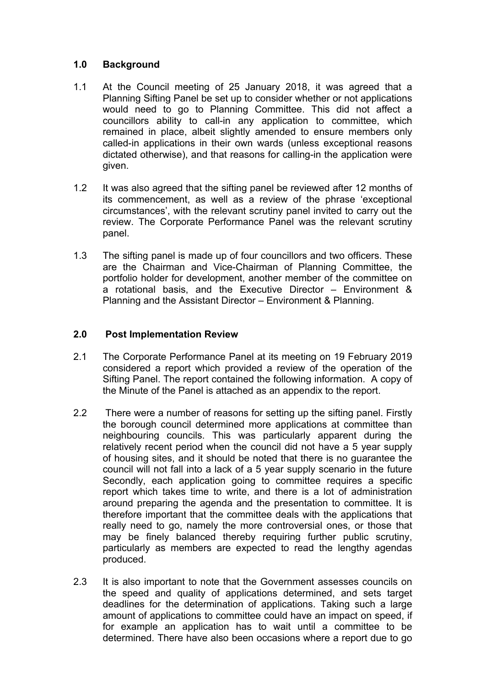#### **1.0 Background**

- 1.1 At the Council meeting of 25 January 2018, it was agreed that a Planning Sifting Panel be set up to consider whether or not applications would need to go to Planning Committee. This did not affect a councillors ability to call-in any application to committee, which remained in place, albeit slightly amended to ensure members only called-in applications in their own wards (unless exceptional reasons dictated otherwise), and that reasons for calling-in the application were given.
- 1.2 It was also agreed that the sifting panel be reviewed after 12 months of its commencement, as well as a review of the phrase 'exceptional circumstances', with the relevant scrutiny panel invited to carry out the review. The Corporate Performance Panel was the relevant scrutiny panel.
- 1.3 The sifting panel is made up of four councillors and two officers. These are the Chairman and Vice-Chairman of Planning Committee, the portfolio holder for development, another member of the committee on a rotational basis, and the Executive Director – Environment & Planning and the Assistant Director – Environment & Planning.

#### **2.0 Post Implementation Review**

- 2.1 The Corporate Performance Panel at its meeting on 19 February 2019 considered a report which provided a review of the operation of the Sifting Panel. The report contained the following information. A copy of the Minute of the Panel is attached as an appendix to the report.
- 2.2 There were a number of reasons for setting up the sifting panel. Firstly the borough council determined more applications at committee than neighbouring councils. This was particularly apparent during the relatively recent period when the council did not have a 5 year supply of housing sites, and it should be noted that there is no guarantee the council will not fall into a lack of a 5 year supply scenario in the future Secondly, each application going to committee requires a specific report which takes time to write, and there is a lot of administration around preparing the agenda and the presentation to committee. It is therefore important that the committee deals with the applications that really need to go, namely the more controversial ones, or those that may be finely balanced thereby requiring further public scrutiny, particularly as members are expected to read the lengthy agendas produced.
- 2.3 It is also important to note that the Government assesses councils on the speed and quality of applications determined, and sets target deadlines for the determination of applications. Taking such a large amount of applications to committee could have an impact on speed, if for example an application has to wait until a committee to be determined. There have also been occasions where a report due to go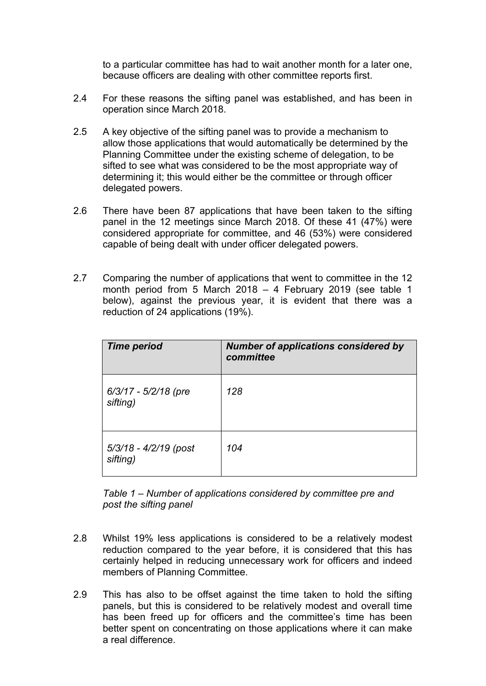to a particular committee has had to wait another month for a later one, because officers are dealing with other committee reports first.

- 2.4 For these reasons the sifting panel was established, and has been in operation since March 2018.
- 2.5 A key objective of the sifting panel was to provide a mechanism to allow those applications that would automatically be determined by the Planning Committee under the existing scheme of delegation, to be sifted to see what was considered to be the most appropriate way of determining it; this would either be the committee or through officer delegated powers.
- 2.6 There have been 87 applications that have been taken to the sifting panel in the 12 meetings since March 2018. Of these 41 (47%) were considered appropriate for committee, and 46 (53%) were considered capable of being dealt with under officer delegated powers.
- 2.7 Comparing the number of applications that went to committee in the 12 month period from 5 March 2018 – 4 February 2019 (see table 1 below), against the previous year, it is evident that there was a reduction of 24 applications (19%).

| <b>Time period</b>                | <b>Number of applications considered by</b><br>committee |
|-----------------------------------|----------------------------------------------------------|
| 6/3/17 - 5/2/18 (pre<br>sifting)  | 128                                                      |
| 5/3/18 - 4/2/19 (post<br>sifting) | 104                                                      |

*Table 1 – Number of applications considered by committee pre and post the sifting panel*

- 2.8 Whilst 19% less applications is considered to be a relatively modest reduction compared to the year before, it is considered that this has certainly helped in reducing unnecessary work for officers and indeed members of Planning Committee.
- 2.9 This has also to be offset against the time taken to hold the sifting panels, but this is considered to be relatively modest and overall time has been freed up for officers and the committee's time has been better spent on concentrating on those applications where it can make a real difference.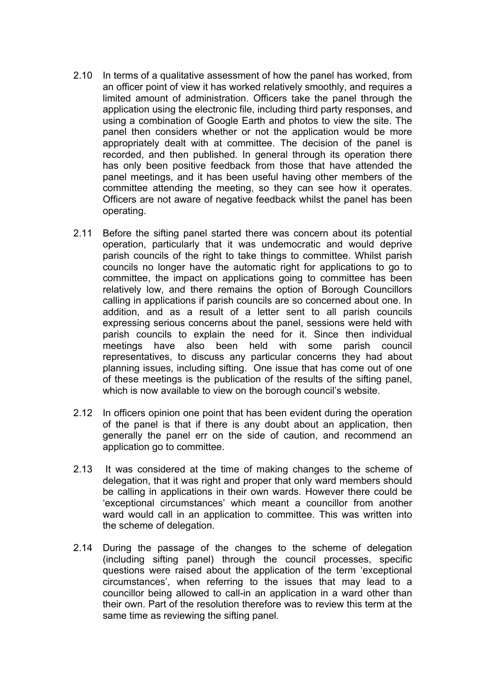- 2.10 In terms of a qualitative assessment of how the panel has worked, from an officer point of view it has worked relatively smoothly, and requires a limited amount of administration. Officers take the panel through the application using the electronic file, including third party responses, and using a combination of Google Earth and photos to view the site. The panel then considers whether or not the application would be more appropriately dealt with at committee. The decision of the panel is recorded, and then published. In general through its operation there has only been positive feedback from those that have attended the panel meetings, and it has been useful having other members of the committee attending the meeting, so they can see how it operates. Officers are not aware of negative feedback whilst the panel has been operating.
- 2.11 Before the sifting panel started there was concern about its potential operation, particularly that it was undemocratic and would deprive parish councils of the right to take things to committee. Whilst parish councils no longer have the automatic right for applications to go to committee, the impact on applications going to committee has been relatively low, and there remains the option of Borough Councillors calling in applications if parish councils are so concerned about one. In addition, and as a result of a letter sent to all parish councils expressing serious concerns about the panel, sessions were held with parish councils to explain the need for it. Since then individual meetings have also been held with some parish council representatives, to discuss any particular concerns they had about planning issues, including sifting. One issue that has come out of one of these meetings is the publication of the results of the sifting panel, which is now available to view on the borough council's website.
- 2.12 In officers opinion one point that has been evident during the operation of the panel is that if there is any doubt about an application, then generally the panel err on the side of caution, and recommend an application go to committee.
- 2.13 It was considered at the time of making changes to the scheme of delegation, that it was right and proper that only ward members should be calling in applications in their own wards. However there could be 'exceptional circumstances' which meant a councillor from another ward would call in an application to committee. This was written into the scheme of delegation.
- 2.14 During the passage of the changes to the scheme of delegation (including sifting panel) through the council processes, specific questions were raised about the application of the term 'exceptional circumstances', when referring to the issues that may lead to a councillor being allowed to call-in an application in a ward other than their own. Part of the resolution therefore was to review this term at the same time as reviewing the sifting panel.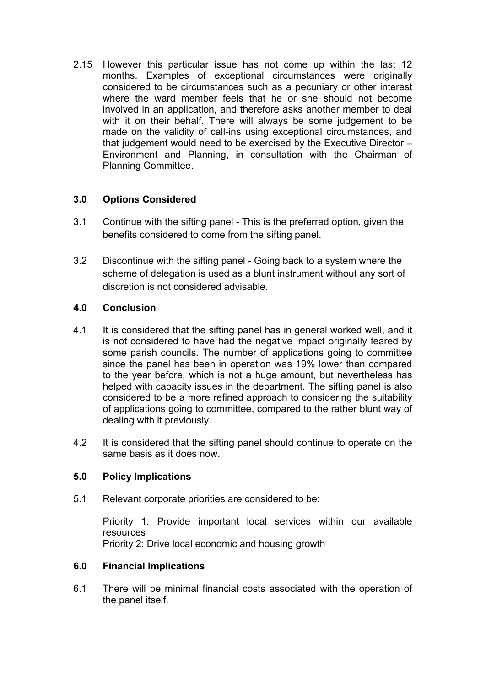2.15 However this particular issue has not come up within the last 12 months. Examples of exceptional circumstances were originally considered to be circumstances such as a pecuniary or other interest where the ward member feels that he or she should not become involved in an application, and therefore asks another member to deal with it on their behalf. There will always be some judgement to be made on the validity of call-ins using exceptional circumstances, and that judgement would need to be exercised by the Executive Director – Environment and Planning, in consultation with the Chairman of Planning Committee.

### **3.0 Options Considered**

- 3.1 Continue with the sifting panel This is the preferred option, given the benefits considered to come from the sifting panel.
- 3.2 Discontinue with the sifting panel Going back to a system where the scheme of delegation is used as a blunt instrument without any sort of discretion is not considered advisable.

### **4.0 Conclusion**

- 4.1 It is considered that the sifting panel has in general worked well, and it is not considered to have had the negative impact originally feared by some parish councils. The number of applications going to committee since the panel has been in operation was 19% lower than compared to the year before, which is not a huge amount, but nevertheless has helped with capacity issues in the department. The sifting panel is also considered to be a more refined approach to considering the suitability of applications going to committee, compared to the rather blunt way of dealing with it previously.
- 4.2 It is considered that the sifting panel should continue to operate on the same basis as it does now.

### **5.0 Policy Implications**

5.1 Relevant corporate priorities are considered to be:

Priority 1: Provide important local services within our available resources

Priority 2: Drive local economic and housing growth

#### **6.0 Financial Implications**

6.1 There will be minimal financial costs associated with the operation of the panel itself.